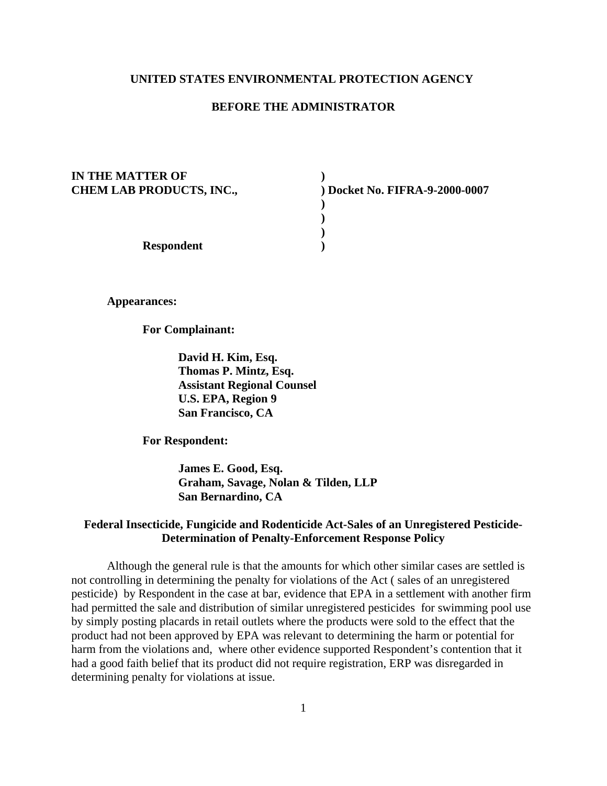## **UNITED STATES ENVIRONMENTAL PROTECTION AGENCY**

#### **BEFORE THE ADMINISTRATOR**

**)**

**) ) ) )**

**IN THE MATTER OF CHEM LAB PRODUCTS, INC.,**

**) Docket No. FIFRA-9-2000-0007**

**Respondent** 

**Appearances:** 

**For Complainant:** 

**David H. Kim, Esq. Thomas P. Mintz, Esq. Assistant Regional Counsel U.S. EPA, Region 9 San Francisco, CA**

**For Respondent:** 

**James E. Good, Esq. Graham, Savage, Nolan & Tilden, LLP San Bernardino, CA**

# **Federal Insecticide, Fungicide and Rodenticide Act-Sales of an Unregistered Pesticide-Determination of Penalty-Enforcement Response Policy**

Although the general rule is that the amounts for which other similar cases are settled is not controlling in determining the penalty for violations of the Act ( sales of an unregistered pesticide) by Respondent in the case at bar, evidence that EPA in a settlement with another firm had permitted the sale and distribution of similar unregistered pesticides for swimming pool use by simply posting placards in retail outlets where the products were sold to the effect that the product had not been approved by EPA was relevant to determining the harm or potential for harm from the violations and, where other evidence supported Respondent's contention that it had a good faith belief that its product did not require registration, ERP was disregarded in determining penalty for violations at issue.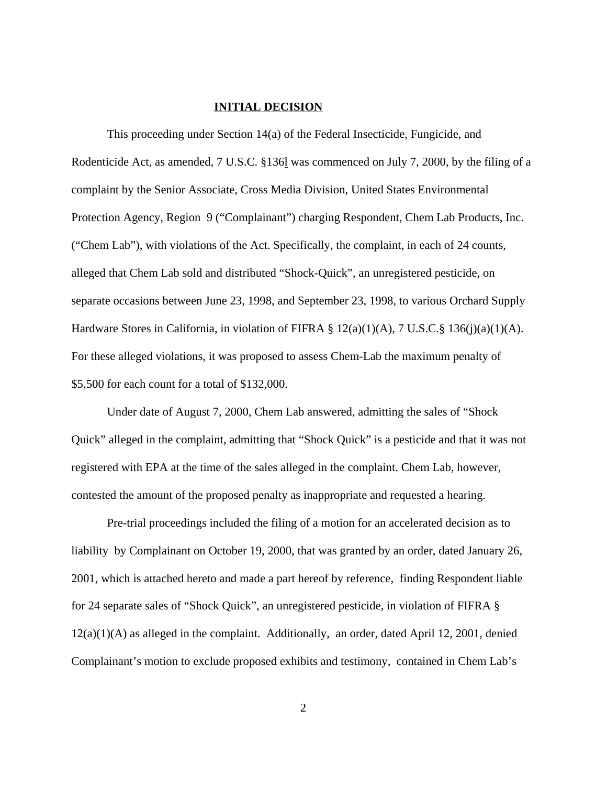#### **INITIAL DECISION**

This proceeding under Section 14(a) of the Federal Insecticide, Fungicide, and Rodenticide Act, as amended, 7 U.S.C. §136l was commenced on July 7, 2000, by the filing of a complaint by the Senior Associate, Cross Media Division, United States Environmental Protection Agency, Region 9 ("Complainant") charging Respondent, Chem Lab Products, Inc. ("Chem Lab"), with violations of the Act. Specifically, the complaint, in each of 24 counts, alleged that Chem Lab sold and distributed "Shock-Quick", an unregistered pesticide, on separate occasions between June 23, 1998, and September 23, 1998, to various Orchard Supply Hardware Stores in California, in violation of FIFRA § 12(a)(1)(A), 7 U.S.C.§ 136(j)(a)(1)(A). For these alleged violations, it was proposed to assess Chem-Lab the maximum penalty of \$5,500 for each count for a total of \$132,000.

Under date of August 7, 2000, Chem Lab answered, admitting the sales of "Shock Quick" alleged in the complaint, admitting that "Shock Quick" is a pesticide and that it was not registered with EPA at the time of the sales alleged in the complaint. Chem Lab, however, contested the amount of the proposed penalty as inappropriate and requested a hearing.

Pre-trial proceedings included the filing of a motion for an accelerated decision as to liability by Complainant on October 19, 2000, that was granted by an order, dated January 26, 2001, which is attached hereto and made a part hereof by reference, finding Respondent liable for 24 separate sales of "Shock Quick", an unregistered pesticide, in violation of FIFRA § 12(a)(1)(A) as alleged in the complaint. Additionally, an order, dated April 12, 2001, denied Complainant's motion to exclude proposed exhibits and testimony, contained in Chem Lab's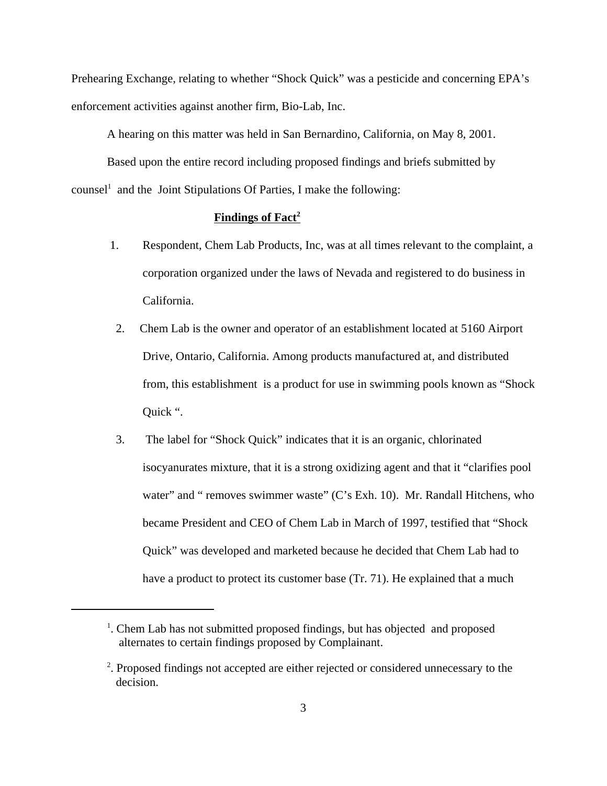Prehearing Exchange, relating to whether "Shock Quick" was a pesticide and concerning EPA's enforcement activities against another firm, Bio-Lab, Inc.

A hearing on this matter was held in San Bernardino, California, on May 8, 2001.

Based upon the entire record including proposed findings and briefs submitted by counsel<sup>1</sup> and the Joint Stipulations Of Parties, I make the following:

## **Findings of Fact2**

- 1. Respondent, Chem Lab Products, Inc, was at all times relevant to the complaint, a corporation organized under the laws of Nevada and registered to do business in California.
- 2. Chem Lab is the owner and operator of an establishment located at 5160 Airport Drive, Ontario, California. Among products manufactured at, and distributed from, this establishment is a product for use in swimming pools known as "Shock Quick ".
- 3. The label for "Shock Quick" indicates that it is an organic, chlorinated isocyanurates mixture, that it is a strong oxidizing agent and that it "clarifies pool water" and " removes swimmer waste" (C's Exh. 10). Mr. Randall Hitchens, who became President and CEO of Chem Lab in March of 1997, testified that "Shock Quick" was developed and marketed because he decided that Chem Lab had to have a product to protect its customer base (Tr. 71). He explained that a much

<sup>&</sup>lt;sup>1</sup>. Chem Lab has not submitted proposed findings, but has objected and proposed alternates to certain findings proposed by Complainant.

<sup>&</sup>lt;sup>2</sup>. Proposed findings not accepted are either rejected or considered unnecessary to the decision.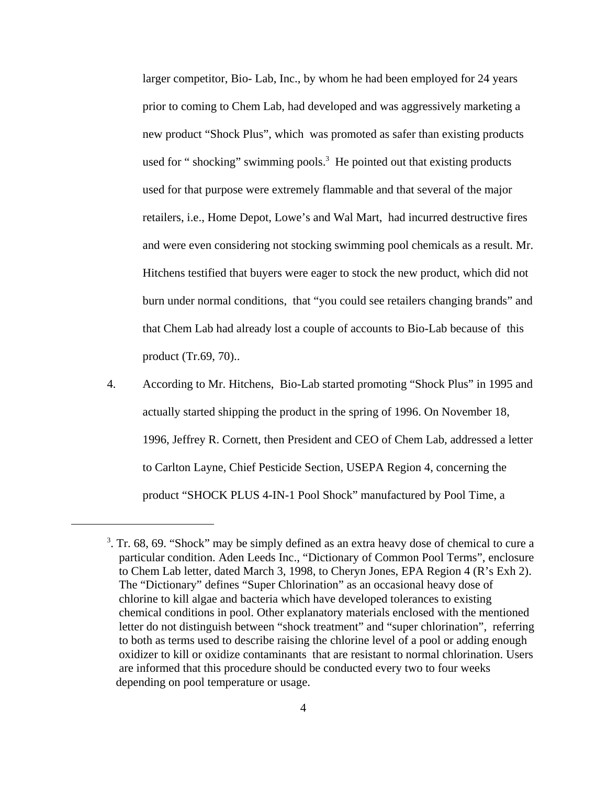larger competitor, Bio- Lab, Inc., by whom he had been employed for 24 years prior to coming to Chem Lab, had developed and was aggressively marketing a new product "Shock Plus", which was promoted as safer than existing products used for " shocking" swimming pools.<sup>3</sup> He pointed out that existing products used for that purpose were extremely flammable and that several of the major retailers, i.e., Home Depot, Lowe's and Wal Mart, had incurred destructive fires and were even considering not stocking swimming pool chemicals as a result. Mr. Hitchens testified that buyers were eager to stock the new product, which did not burn under normal conditions, that "you could see retailers changing brands" and that Chem Lab had already lost a couple of accounts to Bio-Lab because of this product (Tr.69, 70)..

4. According to Mr. Hitchens, Bio-Lab started promoting "Shock Plus" in 1995 and actually started shipping the product in the spring of 1996. On November 18, 1996, Jeffrey R. Cornett, then President and CEO of Chem Lab, addressed a letter to Carlton Layne, Chief Pesticide Section, USEPA Region 4, concerning the product "SHOCK PLUS 4-IN-1 Pool Shock" manufactured by Pool Time, a

 $3$ . Tr. 68, 69. "Shock" may be simply defined as an extra heavy dose of chemical to cure a particular condition. Aden Leeds Inc., "Dictionary of Common Pool Terms", enclosure to Chem Lab letter, dated March 3, 1998, to Cheryn Jones, EPA Region 4 (R's Exh 2). The "Dictionary" defines "Super Chlorination" as an occasional heavy dose of chlorine to kill algae and bacteria which have developed tolerances to existing chemical conditions in pool. Other explanatory materials enclosed with the mentioned letter do not distinguish between "shock treatment" and "super chlorination", referring to both as terms used to describe raising the chlorine level of a pool or adding enough oxidizer to kill or oxidize contaminants that are resistant to normal chlorination. Users are informed that this procedure should be conducted every two to four weeks depending on pool temperature or usage.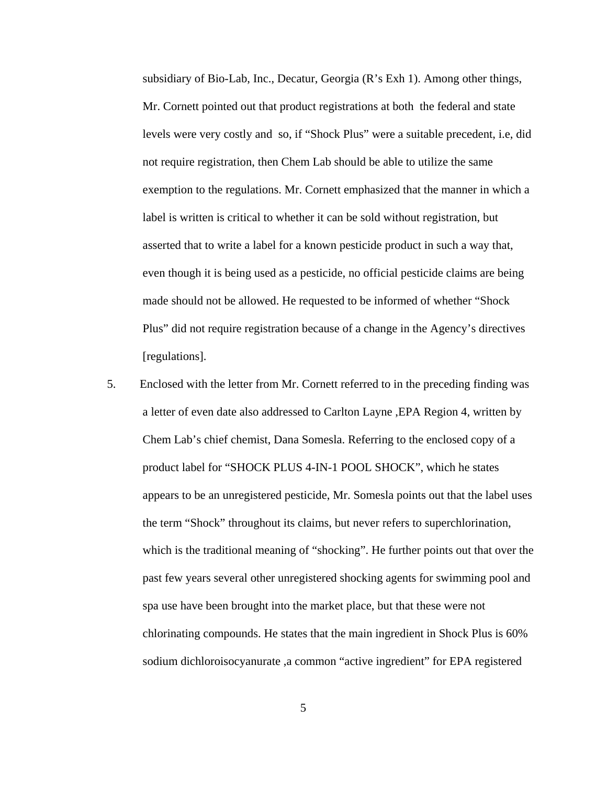subsidiary of Bio-Lab, Inc., Decatur, Georgia (R's Exh 1). Among other things, Mr. Cornett pointed out that product registrations at both the federal and state levels were very costly and so, if "Shock Plus" were a suitable precedent, i.e, did not require registration, then Chem Lab should be able to utilize the same exemption to the regulations. Mr. Cornett emphasized that the manner in which a label is written is critical to whether it can be sold without registration, but asserted that to write a label for a known pesticide product in such a way that, even though it is being used as a pesticide, no official pesticide claims are being made should not be allowed. He requested to be informed of whether "Shock Plus" did not require registration because of a change in the Agency's directives [regulations].

5. Enclosed with the letter from Mr. Cornett referred to in the preceding finding was a letter of even date also addressed to Carlton Layne ,EPA Region 4, written by Chem Lab's chief chemist, Dana Somesla. Referring to the enclosed copy of a product label for "SHOCK PLUS 4-IN-1 POOL SHOCK", which he states appears to be an unregistered pesticide, Mr. Somesla points out that the label uses the term "Shock" throughout its claims, but never refers to superchlorination, which is the traditional meaning of "shocking". He further points out that over the past few years several other unregistered shocking agents for swimming pool and spa use have been brought into the market place, but that these were not chlorinating compounds. He states that the main ingredient in Shock Plus is 60% sodium dichloroisocyanurate ,a common "active ingredient" for EPA registered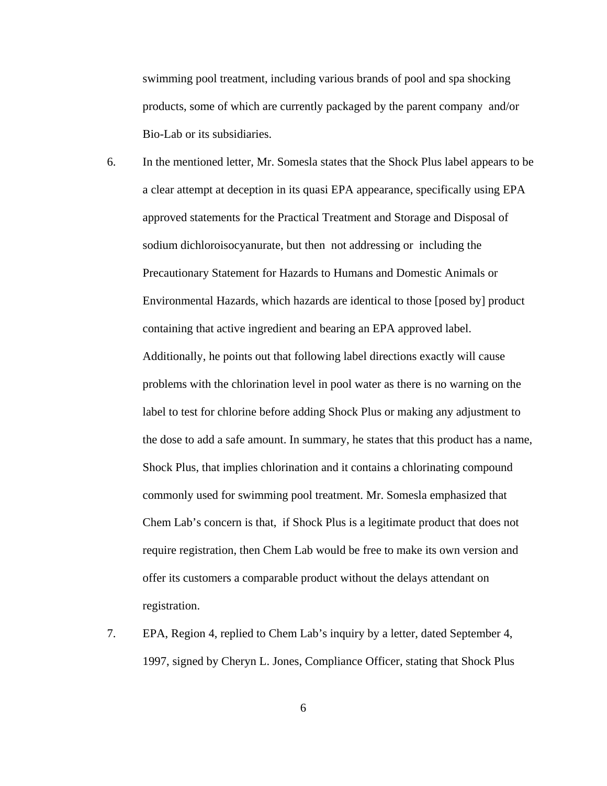swimming pool treatment, including various brands of pool and spa shocking products, some of which are currently packaged by the parent company and/or Bio-Lab or its subsidiaries.

- 6. In the mentioned letter, Mr. Somesla states that the Shock Plus label appears to be a clear attempt at deception in its quasi EPA appearance, specifically using EPA approved statements for the Practical Treatment and Storage and Disposal of sodium dichloroisocyanurate, but then not addressing or including the Precautionary Statement for Hazards to Humans and Domestic Animals or Environmental Hazards, which hazards are identical to those [posed by] product containing that active ingredient and bearing an EPA approved label. Additionally, he points out that following label directions exactly will cause problems with the chlorination level in pool water as there is no warning on the label to test for chlorine before adding Shock Plus or making any adjustment to the dose to add a safe amount. In summary, he states that this product has a name, Shock Plus, that implies chlorination and it contains a chlorinating compound commonly used for swimming pool treatment. Mr. Somesla emphasized that Chem Lab's concern is that, if Shock Plus is a legitimate product that does not require registration, then Chem Lab would be free to make its own version and offer its customers a comparable product without the delays attendant on registration.
- 7. EPA, Region 4, replied to Chem Lab's inquiry by a letter, dated September 4, 1997, signed by Cheryn L. Jones, Compliance Officer, stating that Shock Plus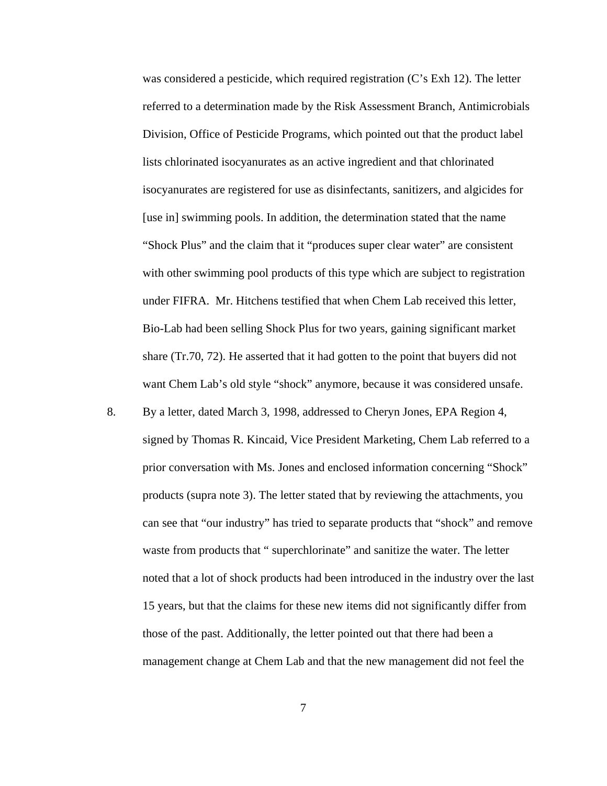was considered a pesticide, which required registration (C's Exh 12). The letter referred to a determination made by the Risk Assessment Branch, Antimicrobials Division, Office of Pesticide Programs, which pointed out that the product label lists chlorinated isocyanurates as an active ingredient and that chlorinated isocyanurates are registered for use as disinfectants, sanitizers, and algicides for [use in] swimming pools. In addition, the determination stated that the name "Shock Plus" and the claim that it "produces super clear water" are consistent with other swimming pool products of this type which are subject to registration under FIFRA. Mr. Hitchens testified that when Chem Lab received this letter, Bio-Lab had been selling Shock Plus for two years, gaining significant market share (Tr.70, 72). He asserted that it had gotten to the point that buyers did not want Chem Lab's old style "shock" anymore, because it was considered unsafe.

8. By a letter, dated March 3, 1998, addressed to Cheryn Jones, EPA Region 4, signed by Thomas R. Kincaid, Vice President Marketing, Chem Lab referred to a prior conversation with Ms. Jones and enclosed information concerning "Shock" products (supra note 3). The letter stated that by reviewing the attachments, you can see that "our industry" has tried to separate products that "shock" and remove waste from products that " superchlorinate" and sanitize the water. The letter noted that a lot of shock products had been introduced in the industry over the last 15 years, but that the claims for these new items did not significantly differ from those of the past. Additionally, the letter pointed out that there had been a management change at Chem Lab and that the new management did not feel the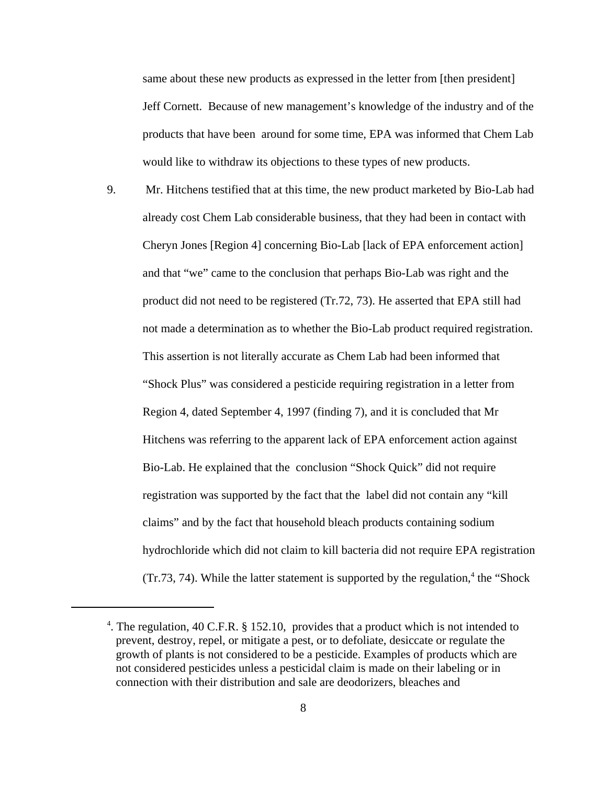same about these new products as expressed in the letter from [then president] Jeff Cornett. Because of new management's knowledge of the industry and of the products that have been around for some time, EPA was informed that Chem Lab would like to withdraw its objections to these types of new products.

9. Mr. Hitchens testified that at this time, the new product marketed by Bio-Lab had already cost Chem Lab considerable business, that they had been in contact with Cheryn Jones [Region 4] concerning Bio-Lab [lack of EPA enforcement action] and that "we" came to the conclusion that perhaps Bio-Lab was right and the product did not need to be registered (Tr.72, 73). He asserted that EPA still had not made a determination as to whether the Bio-Lab product required registration. This assertion is not literally accurate as Chem Lab had been informed that "Shock Plus" was considered a pesticide requiring registration in a letter from Region 4, dated September 4, 1997 (finding 7), and it is concluded that Mr Hitchens was referring to the apparent lack of EPA enforcement action against Bio-Lab. He explained that the conclusion "Shock Quick" did not require registration was supported by the fact that the label did not contain any "kill claims" and by the fact that household bleach products containing sodium hydrochloride which did not claim to kill bacteria did not require EPA registration  $(Tr.73, 74)$ . While the latter statement is supported by the regulation,<sup>4</sup> the "Shock"

<sup>&</sup>lt;sup>4</sup>. The regulation, 40 C.F.R. § 152.10, provides that a product which is not intended to prevent, destroy, repel, or mitigate a pest, or to defoliate, desiccate or regulate the growth of plants is not considered to be a pesticide. Examples of products which are not considered pesticides unless a pesticidal claim is made on their labeling or in connection with their distribution and sale are deodorizers, bleaches and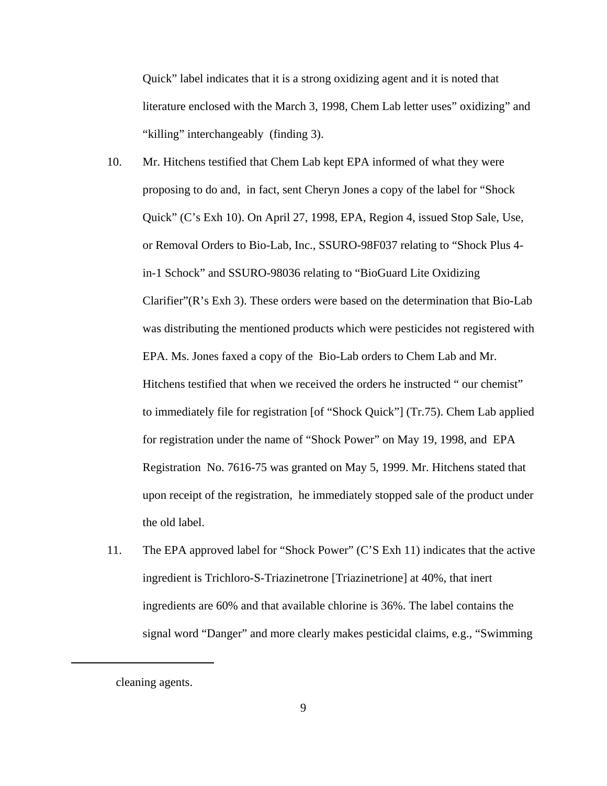Quick" label indicates that it is a strong oxidizing agent and it is noted that literature enclosed with the March 3, 1998, Chem Lab letter uses" oxidizing" and "killing" interchangeably (finding 3).

- 10. Mr. Hitchens testified that Chem Lab kept EPA informed of what they were proposing to do and, in fact, sent Cheryn Jones a copy of the label for "Shock Quick" (C's Exh 10). On April 27, 1998, EPA, Region 4, issued Stop Sale, Use, or Removal Orders to Bio-Lab, Inc., SSURO-98F037 relating to "Shock Plus 4 in-1 Schock" and SSURO-98036 relating to "BioGuard Lite Oxidizing Clarifier"(R's Exh 3). These orders were based on the determination that Bio-Lab was distributing the mentioned products which were pesticides not registered with EPA. Ms. Jones faxed a copy of the Bio-Lab orders to Chem Lab and Mr. Hitchens testified that when we received the orders he instructed " our chemist" to immediately file for registration [of "Shock Quick"] (Tr.75). Chem Lab applied for registration under the name of "Shock Power" on May 19, 1998, and EPA Registration No. 7616-75 was granted on May 5, 1999. Mr. Hitchens stated that upon receipt of the registration, he immediately stopped sale of the product under the old label.
- 11. The EPA approved label for "Shock Power" (C'S Exh 11) indicates that the active ingredient is Trichloro-S-Triazinetrone [Triazinetrione] at 40%, that inert ingredients are 60% and that available chlorine is 36%. The label contains the signal word "Danger" and more clearly makes pesticidal claims, e.g., "Swimming

cleaning agents.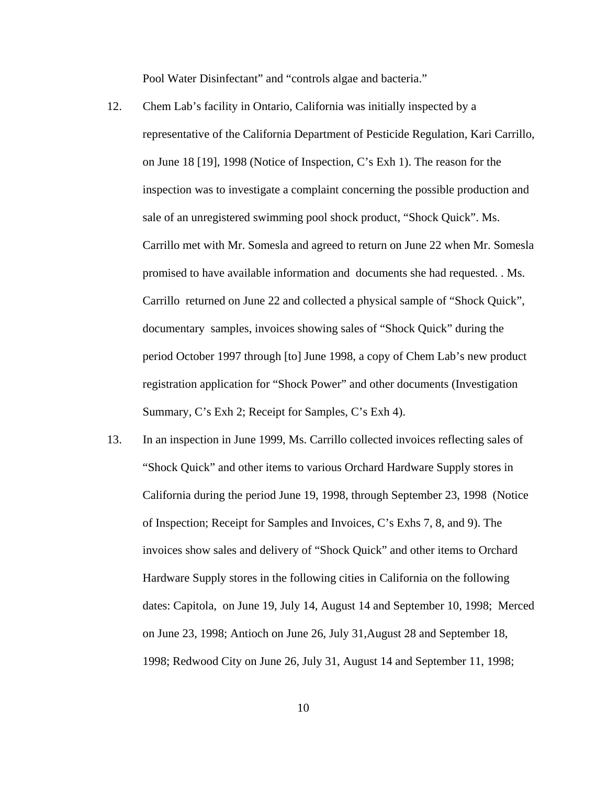Pool Water Disinfectant" and "controls algae and bacteria."

- 12. Chem Lab's facility in Ontario, California was initially inspected by a representative of the California Department of Pesticide Regulation, Kari Carrillo, on June 18 [19], 1998 (Notice of Inspection, C's Exh 1). The reason for the inspection was to investigate a complaint concerning the possible production and sale of an unregistered swimming pool shock product, "Shock Quick". Ms. Carrillo met with Mr. Somesla and agreed to return on June 22 when Mr. Somesla promised to have available information and documents she had requested. . Ms. Carrillo returned on June 22 and collected a physical sample of "Shock Quick", documentary samples, invoices showing sales of "Shock Quick" during the period October 1997 through [to] June 1998, a copy of Chem Lab's new product registration application for "Shock Power" and other documents (Investigation Summary, C's Exh 2; Receipt for Samples, C's Exh 4).
- 13. In an inspection in June 1999, Ms. Carrillo collected invoices reflecting sales of "Shock Quick" and other items to various Orchard Hardware Supply stores in California during the period June 19, 1998, through September 23, 1998 (Notice of Inspection; Receipt for Samples and Invoices, C's Exhs 7, 8, and 9). The invoices show sales and delivery of "Shock Quick" and other items to Orchard Hardware Supply stores in the following cities in California on the following dates: Capitola, on June 19, July 14, August 14 and September 10, 1998; Merced on June 23, 1998; Antioch on June 26, July 31,August 28 and September 18, 1998; Redwood City on June 26, July 31, August 14 and September 11, 1998;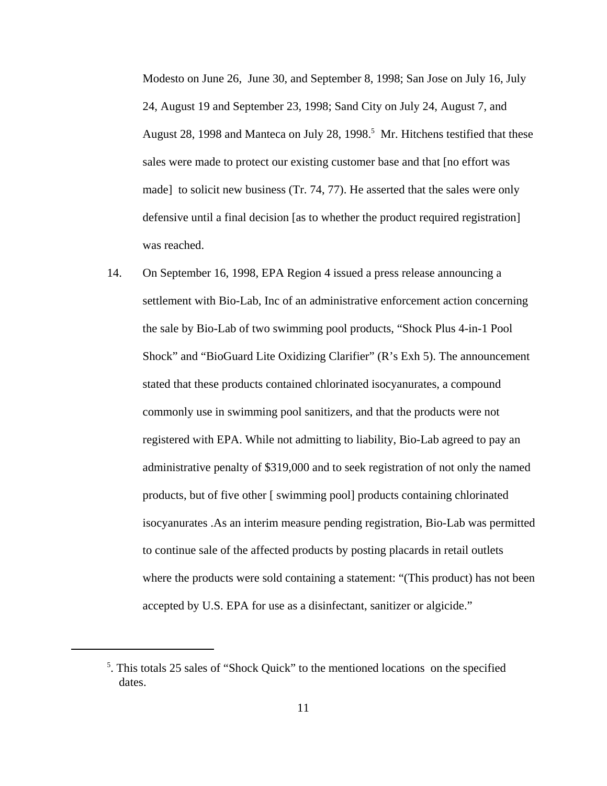Modesto on June 26, June 30, and September 8, 1998; San Jose on July 16, July 24, August 19 and September 23, 1998; Sand City on July 24, August 7, and August 28, 1998 and Manteca on July 28, 1998.<sup>5</sup> Mr. Hitchens testified that these sales were made to protect our existing customer base and that [no effort was made] to solicit new business (Tr. 74, 77). He asserted that the sales were only defensive until a final decision [as to whether the product required registration] was reached.

14. On September 16, 1998, EPA Region 4 issued a press release announcing a settlement with Bio-Lab, Inc of an administrative enforcement action concerning the sale by Bio-Lab of two swimming pool products, "Shock Plus 4-in-1 Pool Shock" and "BioGuard Lite Oxidizing Clarifier" (R's Exh 5). The announcement stated that these products contained chlorinated isocyanurates, a compound commonly use in swimming pool sanitizers, and that the products were not registered with EPA. While not admitting to liability, Bio-Lab agreed to pay an administrative penalty of \$319,000 and to seek registration of not only the named products, but of five other [ swimming pool] products containing chlorinated isocyanurates .As an interim measure pending registration, Bio-Lab was permitted to continue sale of the affected products by posting placards in retail outlets where the products were sold containing a statement: "(This product) has not been accepted by U.S. EPA for use as a disinfectant, sanitizer or algicide."

<sup>&</sup>lt;sup>5</sup>. This totals 25 sales of "Shock Quick" to the mentioned locations on the specified dates.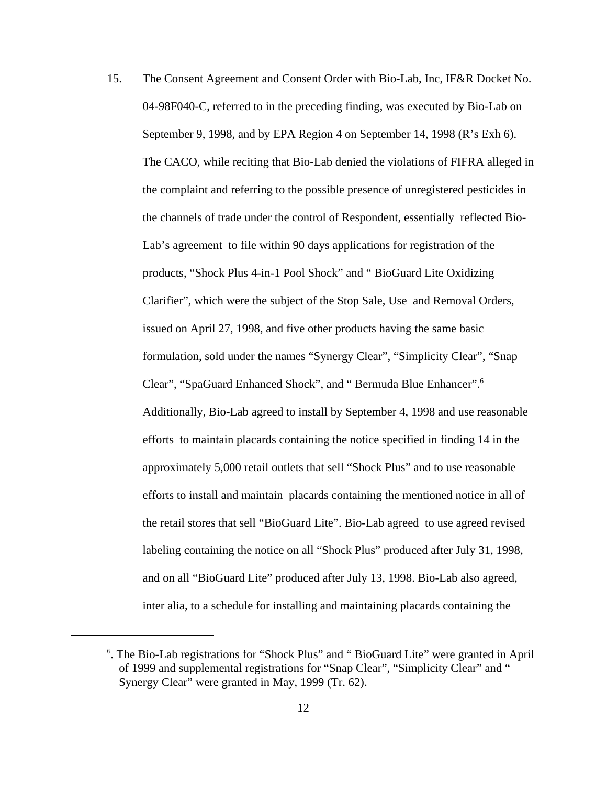15. The Consent Agreement and Consent Order with Bio-Lab, Inc, IF&R Docket No. 04-98F040-C, referred to in the preceding finding, was executed by Bio-Lab on September 9, 1998, and by EPA Region 4 on September 14, 1998 (R's Exh 6). The CACO, while reciting that Bio-Lab denied the violations of FIFRA alleged in the complaint and referring to the possible presence of unregistered pesticides in the channels of trade under the control of Respondent, essentially reflected Bio-Lab's agreement to file within 90 days applications for registration of the products, "Shock Plus 4-in-1 Pool Shock" and " BioGuard Lite Oxidizing Clarifier", which were the subject of the Stop Sale, Use and Removal Orders, issued on April 27, 1998, and five other products having the same basic formulation, sold under the names "Synergy Clear", "Simplicity Clear", "Snap Clear", "SpaGuard Enhanced Shock", and " Bermuda Blue Enhancer".6 Additionally, Bio-Lab agreed to install by September 4, 1998 and use reasonable efforts to maintain placards containing the notice specified in finding 14 in the approximately 5,000 retail outlets that sell "Shock Plus" and to use reasonable efforts to install and maintain placards containing the mentioned notice in all of the retail stores that sell "BioGuard Lite". Bio-Lab agreed to use agreed revised labeling containing the notice on all "Shock Plus" produced after July 31, 1998, and on all "BioGuard Lite" produced after July 13, 1998. Bio-Lab also agreed, inter alia, to a schedule for installing and maintaining placards containing the

<sup>&</sup>lt;sup>6</sup>. The Bio-Lab registrations for "Shock Plus" and "BioGuard Lite" were granted in April of 1999 and supplemental registrations for "Snap Clear", "Simplicity Clear" and " Synergy Clear" were granted in May, 1999 (Tr. 62).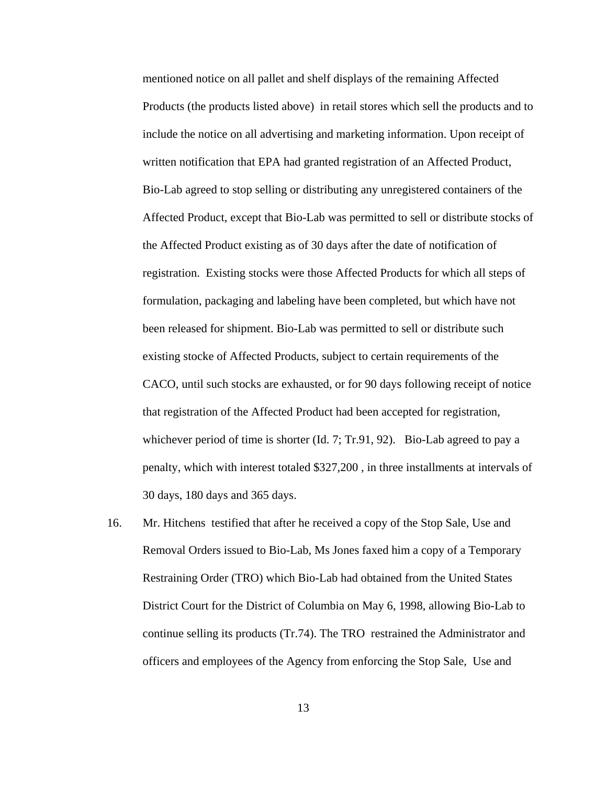mentioned notice on all pallet and shelf displays of the remaining Affected Products (the products listed above) in retail stores which sell the products and to include the notice on all advertising and marketing information. Upon receipt of written notification that EPA had granted registration of an Affected Product, Bio-Lab agreed to stop selling or distributing any unregistered containers of the Affected Product, except that Bio-Lab was permitted to sell or distribute stocks of the Affected Product existing as of 30 days after the date of notification of registration. Existing stocks were those Affected Products for which all steps of formulation, packaging and labeling have been completed, but which have not been released for shipment. Bio-Lab was permitted to sell or distribute such existing stocke of Affected Products, subject to certain requirements of the CACO, until such stocks are exhausted, or for 90 days following receipt of notice that registration of the Affected Product had been accepted for registration, whichever period of time is shorter (Id. 7; Tr.91, 92). Bio-Lab agreed to pay a penalty, which with interest totaled \$327,200 , in three installments at intervals of 30 days, 180 days and 365 days.

16. Mr. Hitchens testified that after he received a copy of the Stop Sale, Use and Removal Orders issued to Bio-Lab, Ms Jones faxed him a copy of a Temporary Restraining Order (TRO) which Bio-Lab had obtained from the United States District Court for the District of Columbia on May 6, 1998, allowing Bio-Lab to continue selling its products (Tr.74). The TRO restrained the Administrator and officers and employees of the Agency from enforcing the Stop Sale, Use and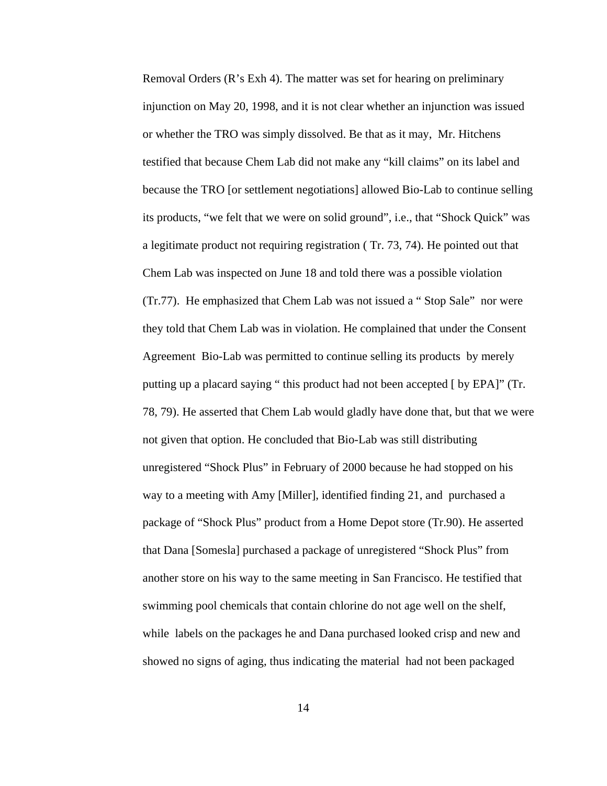Removal Orders (R's Exh 4). The matter was set for hearing on preliminary injunction on May 20, 1998, and it is not clear whether an injunction was issued or whether the TRO was simply dissolved. Be that as it may, Mr. Hitchens testified that because Chem Lab did not make any "kill claims" on its label and because the TRO [or settlement negotiations] allowed Bio-Lab to continue selling its products, "we felt that we were on solid ground", i.e., that "Shock Quick" was a legitimate product not requiring registration ( Tr. 73, 74). He pointed out that Chem Lab was inspected on June 18 and told there was a possible violation (Tr.77). He emphasized that Chem Lab was not issued a " Stop Sale" nor were they told that Chem Lab was in violation. He complained that under the Consent Agreement Bio-Lab was permitted to continue selling its products by merely putting up a placard saying " this product had not been accepted [ by EPA]" (Tr. 78, 79). He asserted that Chem Lab would gladly have done that, but that we were not given that option. He concluded that Bio-Lab was still distributing unregistered "Shock Plus" in February of 2000 because he had stopped on his way to a meeting with Amy [Miller], identified finding 21, and purchased a package of "Shock Plus" product from a Home Depot store (Tr.90). He asserted that Dana [Somesla] purchased a package of unregistered "Shock Plus" from another store on his way to the same meeting in San Francisco. He testified that swimming pool chemicals that contain chlorine do not age well on the shelf, while labels on the packages he and Dana purchased looked crisp and new and showed no signs of aging, thus indicating the material had not been packaged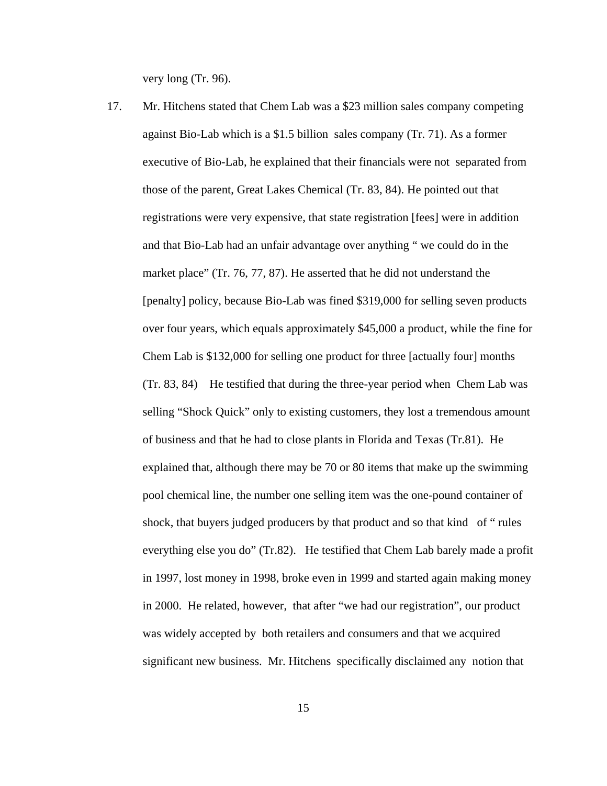very long (Tr. 96).

17. Mr. Hitchens stated that Chem Lab was a \$23 million sales company competing against Bio-Lab which is a \$1.5 billion sales company (Tr. 71). As a former executive of Bio-Lab, he explained that their financials were not separated from those of the parent, Great Lakes Chemical (Tr. 83, 84). He pointed out that registrations were very expensive, that state registration [fees] were in addition and that Bio-Lab had an unfair advantage over anything " we could do in the market place" (Tr. 76, 77, 87). He asserted that he did not understand the [penalty] policy, because Bio-Lab was fined \$319,000 for selling seven products over four years, which equals approximately \$45,000 a product, while the fine for Chem Lab is \$132,000 for selling one product for three [actually four] months (Tr. 83, 84) He testified that during the three-year period when Chem Lab was selling "Shock Quick" only to existing customers, they lost a tremendous amount of business and that he had to close plants in Florida and Texas (Tr.81). He explained that, although there may be 70 or 80 items that make up the swimming pool chemical line, the number one selling item was the one-pound container of shock, that buyers judged producers by that product and so that kind of " rules everything else you do" (Tr.82). He testified that Chem Lab barely made a profit in 1997, lost money in 1998, broke even in 1999 and started again making money in 2000. He related, however, that after "we had our registration", our product was widely accepted by both retailers and consumers and that we acquired significant new business. Mr. Hitchens specifically disclaimed any notion that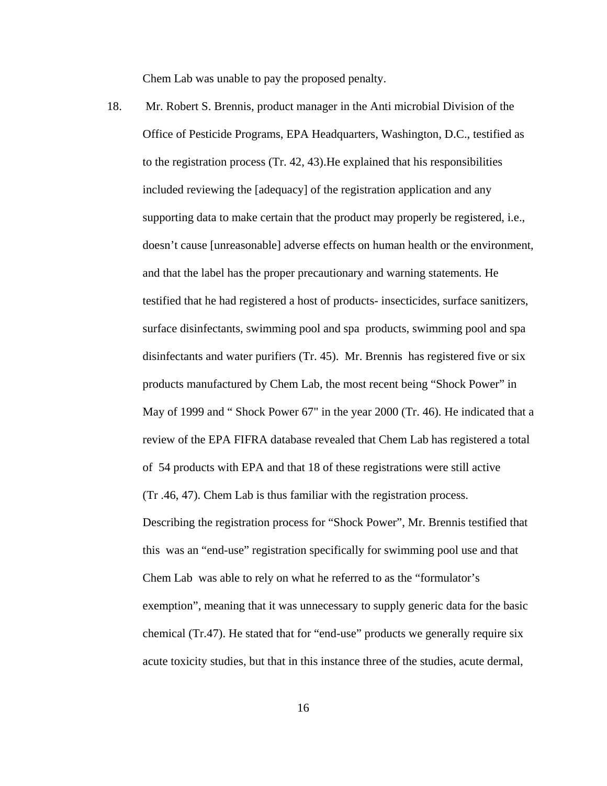Chem Lab was unable to pay the proposed penalty.

18. Mr. Robert S. Brennis, product manager in the Anti microbial Division of the Office of Pesticide Programs, EPA Headquarters, Washington, D.C., testified as to the registration process (Tr. 42, 43).He explained that his responsibilities included reviewing the [adequacy] of the registration application and any supporting data to make certain that the product may properly be registered, i.e., doesn't cause [unreasonable] adverse effects on human health or the environment, and that the label has the proper precautionary and warning statements. He testified that he had registered a host of products- insecticides, surface sanitizers, surface disinfectants, swimming pool and spa products, swimming pool and spa disinfectants and water purifiers (Tr. 45). Mr. Brennis has registered five or six products manufactured by Chem Lab, the most recent being "Shock Power" in May of 1999 and " Shock Power 67" in the year 2000 (Tr. 46). He indicated that a review of the EPA FIFRA database revealed that Chem Lab has registered a total of 54 products with EPA and that 18 of these registrations were still active (Tr .46, 47). Chem Lab is thus familiar with the registration process. Describing the registration process for "Shock Power", Mr. Brennis testified that this was an "end-use" registration specifically for swimming pool use and that Chem Lab was able to rely on what he referred to as the "formulator's exemption", meaning that it was unnecessary to supply generic data for the basic chemical (Tr.47). He stated that for "end-use" products we generally require six acute toxicity studies, but that in this instance three of the studies, acute dermal,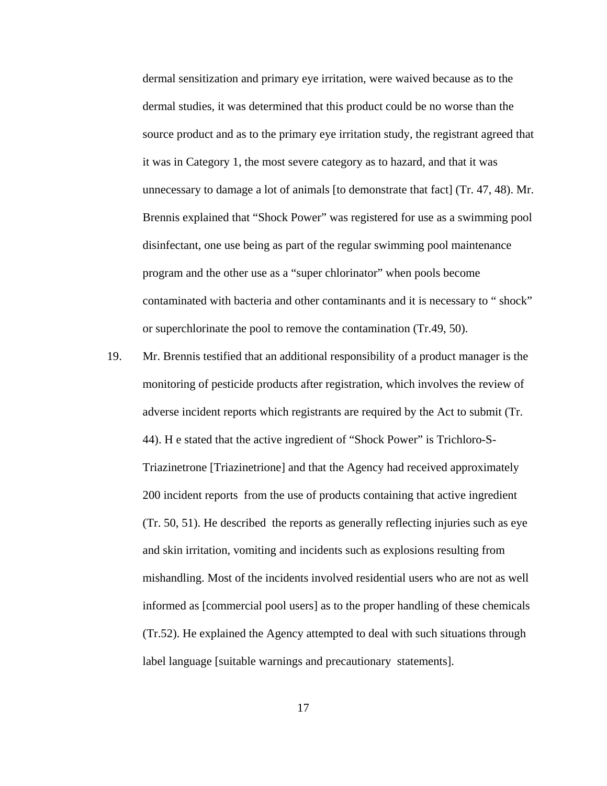dermal sensitization and primary eye irritation, were waived because as to the dermal studies, it was determined that this product could be no worse than the source product and as to the primary eye irritation study, the registrant agreed that it was in Category 1, the most severe category as to hazard, and that it was unnecessary to damage a lot of animals [to demonstrate that fact] (Tr. 47, 48). Mr. Brennis explained that "Shock Power" was registered for use as a swimming pool disinfectant, one use being as part of the regular swimming pool maintenance program and the other use as a "super chlorinator" when pools become contaminated with bacteria and other contaminants and it is necessary to " shock" or superchlorinate the pool to remove the contamination (Tr.49, 50).

19. Mr. Brennis testified that an additional responsibility of a product manager is the monitoring of pesticide products after registration, which involves the review of adverse incident reports which registrants are required by the Act to submit (Tr. 44). H e stated that the active ingredient of "Shock Power" is Trichloro-S-Triazinetrone [Triazinetrione] and that the Agency had received approximately 200 incident reports from the use of products containing that active ingredient (Tr. 50, 51). He described the reports as generally reflecting injuries such as eye and skin irritation, vomiting and incidents such as explosions resulting from mishandling. Most of the incidents involved residential users who are not as well informed as [commercial pool users] as to the proper handling of these chemicals (Tr.52). He explained the Agency attempted to deal with such situations through label language [suitable warnings and precautionary statements].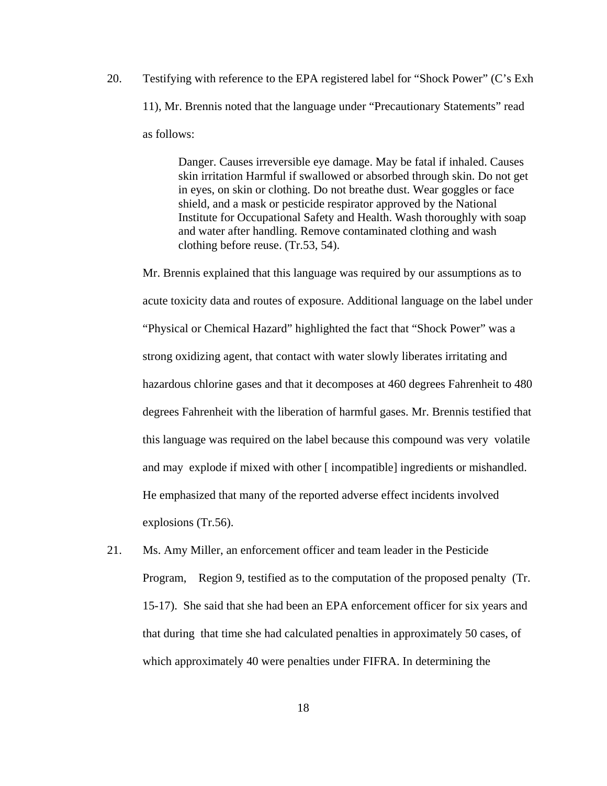20. Testifying with reference to the EPA registered label for "Shock Power" (C's Exh 11), Mr. Brennis noted that the language under "Precautionary Statements" read as follows:

> Danger. Causes irreversible eye damage. May be fatal if inhaled. Causes skin irritation Harmful if swallowed or absorbed through skin. Do not get in eyes, on skin or clothing. Do not breathe dust. Wear goggles or face shield, and a mask or pesticide respirator approved by the National Institute for Occupational Safety and Health. Wash thoroughly with soap and water after handling. Remove contaminated clothing and wash clothing before reuse. (Tr.53, 54).

Mr. Brennis explained that this language was required by our assumptions as to acute toxicity data and routes of exposure. Additional language on the label under "Physical or Chemical Hazard" highlighted the fact that "Shock Power" was a strong oxidizing agent, that contact with water slowly liberates irritating and hazardous chlorine gases and that it decomposes at 460 degrees Fahrenheit to 480 degrees Fahrenheit with the liberation of harmful gases. Mr. Brennis testified that this language was required on the label because this compound was very volatile and may explode if mixed with other [ incompatible] ingredients or mishandled. He emphasized that many of the reported adverse effect incidents involved explosions (Tr.56).

21. Ms. Amy Miller, an enforcement officer and team leader in the Pesticide Program, Region 9, testified as to the computation of the proposed penalty (Tr. 15-17). She said that she had been an EPA enforcement officer for six years and that during that time she had calculated penalties in approximately 50 cases, of which approximately 40 were penalties under FIFRA. In determining the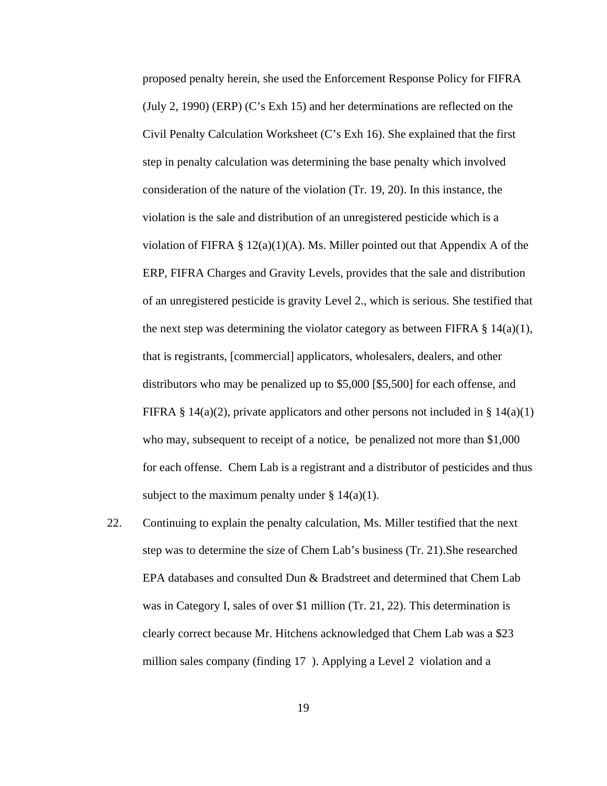proposed penalty herein, she used the Enforcement Response Policy for FIFRA (July 2, 1990) (ERP) (C's Exh 15) and her determinations are reflected on the Civil Penalty Calculation Worksheet (C's Exh 16). She explained that the first step in penalty calculation was determining the base penalty which involved consideration of the nature of the violation (Tr. 19, 20). In this instance, the violation is the sale and distribution of an unregistered pesticide which is a violation of FIFRA  $\S 12(a)(1)(A)$ . Ms. Miller pointed out that Appendix A of the ERP, FIFRA Charges and Gravity Levels, provides that the sale and distribution of an unregistered pesticide is gravity Level 2., which is serious. She testified that the next step was determining the violator category as between FIFRA  $\S$  14(a)(1), that is registrants, [commercial] applicators, wholesalers, dealers, and other distributors who may be penalized up to \$5,000 [\$5,500] for each offense, and FIFRA § 14(a)(2), private applicators and other persons not included in § 14(a)(1) who may, subsequent to receipt of a notice, be penalized not more than \$1,000 for each offense. Chem Lab is a registrant and a distributor of pesticides and thus subject to the maximum penalty under  $\S 14(a)(1)$ .

22. Continuing to explain the penalty calculation, Ms. Miller testified that the next step was to determine the size of Chem Lab's business (Tr. 21).She researched EPA databases and consulted Dun & Bradstreet and determined that Chem Lab was in Category I, sales of over \$1 million (Tr. 21, 22). This determination is clearly correct because Mr. Hitchens acknowledged that Chem Lab was a \$23 million sales company (finding 17 ). Applying a Level 2 violation and a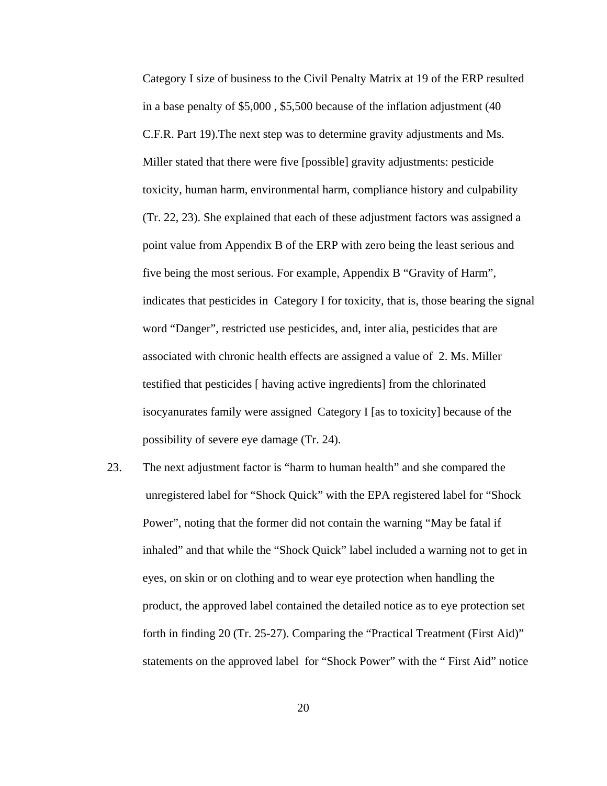Category I size of business to the Civil Penalty Matrix at 19 of the ERP resulted in a base penalty of \$5,000 , \$5,500 because of the inflation adjustment (40 C.F.R. Part 19).The next step was to determine gravity adjustments and Ms. Miller stated that there were five [possible] gravity adjustments: pesticide toxicity, human harm, environmental harm, compliance history and culpability (Tr. 22, 23). She explained that each of these adjustment factors was assigned a point value from Appendix B of the ERP with zero being the least serious and five being the most serious. For example, Appendix B "Gravity of Harm", indicates that pesticides in Category I for toxicity, that is, those bearing the signal word "Danger", restricted use pesticides, and, inter alia, pesticides that are associated with chronic health effects are assigned a value of 2. Ms. Miller testified that pesticides [ having active ingredients] from the chlorinated isocyanurates family were assigned Category I [as to toxicity] because of the possibility of severe eye damage (Tr. 24).

23. The next adjustment factor is "harm to human health" and she compared the unregistered label for "Shock Quick" with the EPA registered label for "Shock Power", noting that the former did not contain the warning "May be fatal if inhaled" and that while the "Shock Quick" label included a warning not to get in eyes, on skin or on clothing and to wear eye protection when handling the product, the approved label contained the detailed notice as to eye protection set forth in finding 20 (Tr. 25-27). Comparing the "Practical Treatment (First Aid)" statements on the approved label for "Shock Power" with the " First Aid" notice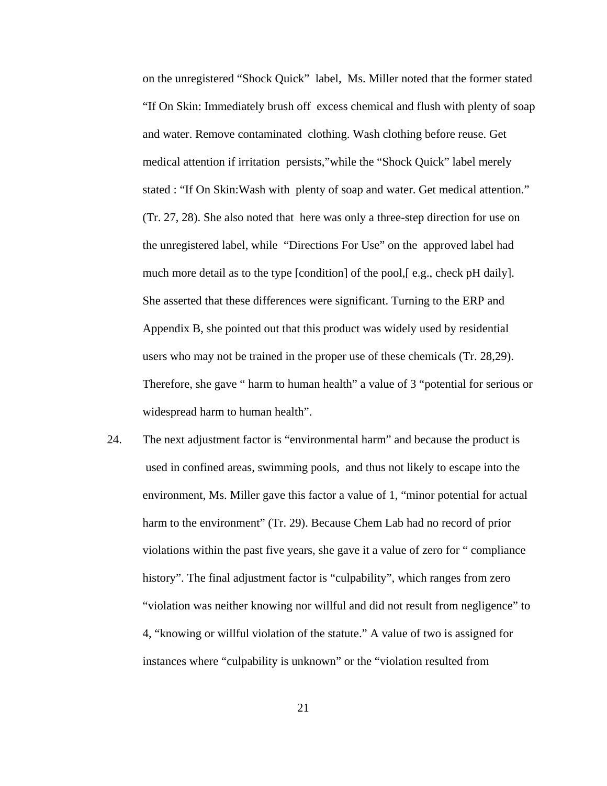on the unregistered "Shock Quick" label, Ms. Miller noted that the former stated "If On Skin: Immediately brush off excess chemical and flush with plenty of soap and water. Remove contaminated clothing. Wash clothing before reuse. Get medical attention if irritation persists,"while the "Shock Quick" label merely stated : "If On Skin:Wash with plenty of soap and water. Get medical attention." (Tr. 27, 28). She also noted that here was only a three-step direction for use on the unregistered label, while "Directions For Use" on the approved label had much more detail as to the type [condition] of the pool, [e.g., check pH daily]. She asserted that these differences were significant. Turning to the ERP and Appendix B, she pointed out that this product was widely used by residential users who may not be trained in the proper use of these chemicals (Tr. 28,29). Therefore, she gave " harm to human health" a value of 3 "potential for serious or widespread harm to human health".

24. The next adjustment factor is "environmental harm" and because the product is used in confined areas, swimming pools, and thus not likely to escape into the environment, Ms. Miller gave this factor a value of 1, "minor potential for actual harm to the environment" (Tr. 29). Because Chem Lab had no record of prior violations within the past five years, she gave it a value of zero for " compliance history". The final adjustment factor is "culpability", which ranges from zero "violation was neither knowing nor willful and did not result from negligence" to 4, "knowing or willful violation of the statute." A value of two is assigned for instances where "culpability is unknown" or the "violation resulted from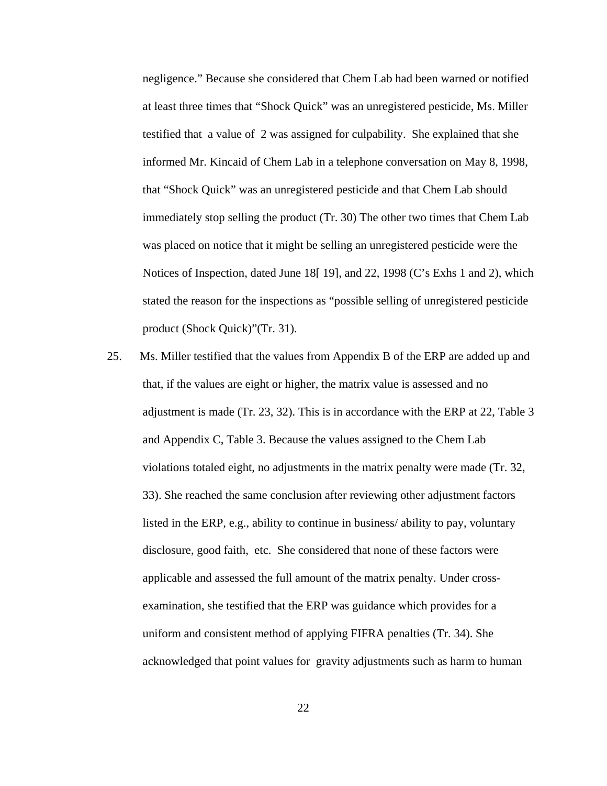negligence." Because she considered that Chem Lab had been warned or notified at least three times that "Shock Quick" was an unregistered pesticide, Ms. Miller testified that a value of 2 was assigned for culpability. She explained that she informed Mr. Kincaid of Chem Lab in a telephone conversation on May 8, 1998, that "Shock Quick" was an unregistered pesticide and that Chem Lab should immediately stop selling the product (Tr. 30) The other two times that Chem Lab was placed on notice that it might be selling an unregistered pesticide were the Notices of Inspection, dated June 18[ 19], and 22, 1998 (C's Exhs 1 and 2), which stated the reason for the inspections as "possible selling of unregistered pesticide product (Shock Quick)"(Tr. 31).

25. Ms. Miller testified that the values from Appendix B of the ERP are added up and that, if the values are eight or higher, the matrix value is assessed and no adjustment is made (Tr. 23, 32). This is in accordance with the ERP at 22, Table 3 and Appendix C, Table 3. Because the values assigned to the Chem Lab violations totaled eight, no adjustments in the matrix penalty were made (Tr. 32, 33). She reached the same conclusion after reviewing other adjustment factors listed in the ERP, e.g., ability to continue in business/ ability to pay, voluntary disclosure, good faith, etc. She considered that none of these factors were applicable and assessed the full amount of the matrix penalty. Under crossexamination, she testified that the ERP was guidance which provides for a uniform and consistent method of applying FIFRA penalties (Tr. 34). She acknowledged that point values for gravity adjustments such as harm to human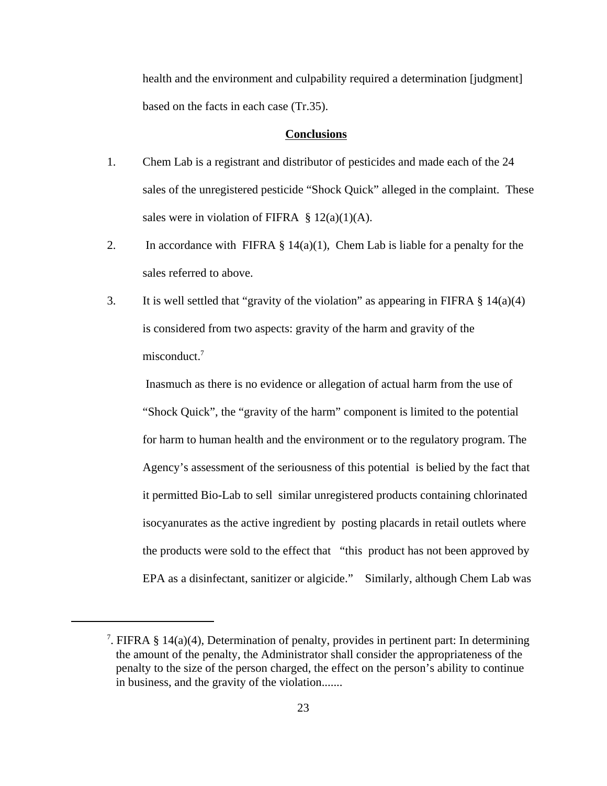health and the environment and culpability required a determination [judgment] based on the facts in each case (Tr.35).

#### **Conclusions**

- 1. Chem Lab is a registrant and distributor of pesticides and made each of the 24 sales of the unregistered pesticide "Shock Quick" alleged in the complaint. These sales were in violation of FIFRA  $\S 12(a)(1)(A)$ .
- 2. In accordance with FIFRA  $\S 14(a)(1)$ , Chem Lab is liable for a penalty for the sales referred to above.
- 3. It is well settled that "gravity of the violation" as appearing in FIFRA  $\S$  14(a)(4) is considered from two aspects: gravity of the harm and gravity of the misconduct.<sup>7</sup>

Inasmuch as there is no evidence or allegation of actual harm from the use of "Shock Quick", the "gravity of the harm" component is limited to the potential for harm to human health and the environment or to the regulatory program. The Agency's assessment of the seriousness of this potential is belied by the fact that it permitted Bio-Lab to sell similar unregistered products containing chlorinated isocyanurates as the active ingredient by posting placards in retail outlets where the products were sold to the effect that "this product has not been approved by EPA as a disinfectant, sanitizer or algicide." Similarly, although Chem Lab was

<sup>&</sup>lt;sup>7</sup>. FIFRA § 14(a)(4), Determination of penalty, provides in pertinent part: In determining the amount of the penalty, the Administrator shall consider the appropriateness of the penalty to the size of the person charged, the effect on the person's ability to continue in business, and the gravity of the violation.......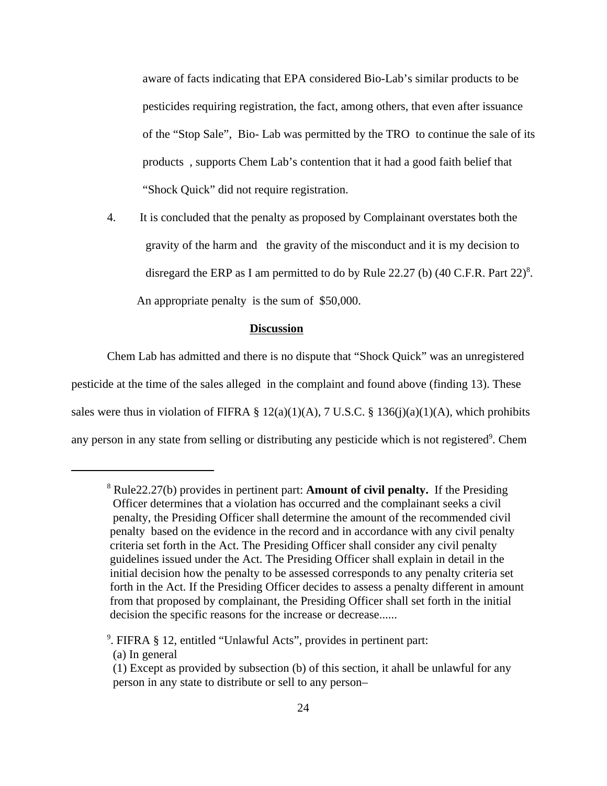aware of facts indicating that EPA considered Bio-Lab's similar products to be pesticides requiring registration, the fact, among others, that even after issuance of the "Stop Sale", Bio- Lab was permitted by the TRO to continue the sale of its products , supports Chem Lab's contention that it had a good faith belief that "Shock Quick" did not require registration.

4. It is concluded that the penalty as proposed by Complainant overstates both the gravity of the harm and the gravity of the misconduct and it is my decision to disregard the ERP as I am permitted to do by Rule 22.27 (b)  $(40 \text{ C.F.R. Part } 22)^8$ . An appropriate penalty is the sum of \$50,000.

# **Discussion**

Chem Lab has admitted and there is no dispute that "Shock Quick" was an unregistered pesticide at the time of the sales alleged in the complaint and found above (finding 13). These sales were thus in violation of FIFRA  $\S 12(a)(1)(A)$ , 7 U.S.C.  $\S 136(j)(a)(1)(A)$ , which prohibits any person in any state from selling or distributing any pesticide which is not registered<sup>9</sup>. Chem

<sup>8</sup> Rule22.27(b) provides in pertinent part: **Amount of civil penalty.** If the Presiding Officer determines that a violation has occurred and the complainant seeks a civil penalty, the Presiding Officer shall determine the amount of the recommended civil penalty based on the evidence in the record and in accordance with any civil penalty criteria set forth in the Act. The Presiding Officer shall consider any civil penalty guidelines issued under the Act. The Presiding Officer shall explain in detail in the initial decision how the penalty to be assessed corresponds to any penalty criteria set forth in the Act. If the Presiding Officer decides to assess a penalty different in amount from that proposed by complainant, the Presiding Officer shall set forth in the initial decision the specific reasons for the increase or decrease......

<sup>9</sup> . FIFRA § 12, entitled "Unlawful Acts", provides in pertinent part:

<sup>(</sup>a) In general

<sup>(1)</sup> Except as provided by subsection (b) of this section, it ahall be unlawful for any person in any state to distribute or sell to any person–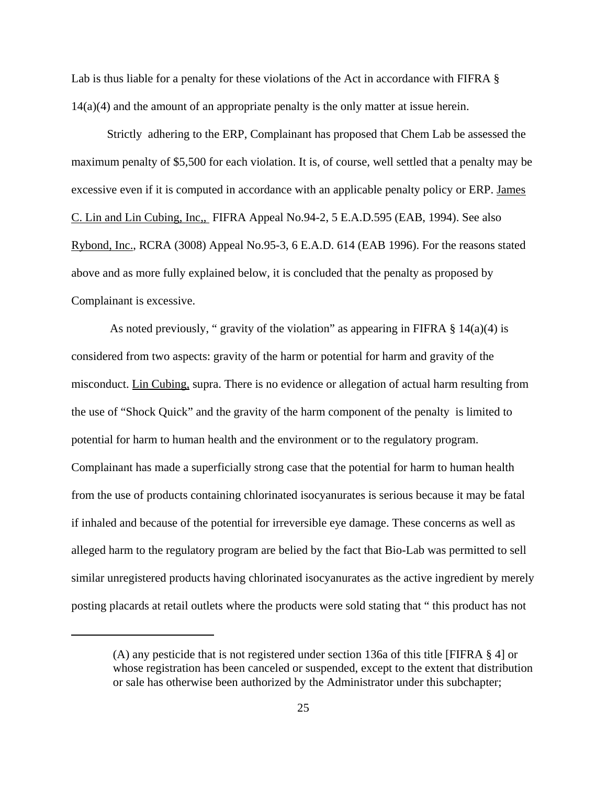Lab is thus liable for a penalty for these violations of the Act in accordance with FIFRA § 14(a)(4) and the amount of an appropriate penalty is the only matter at issue herein.

Strictly adhering to the ERP, Complainant has proposed that Chem Lab be assessed the maximum penalty of \$5,500 for each violation. It is, of course, well settled that a penalty may be excessive even if it is computed in accordance with an applicable penalty policy or ERP. James C. Lin and Lin Cubing, Inc,, FIFRA Appeal No.94-2, 5 E.A.D.595 (EAB, 1994). See also Rybond, Inc., RCRA (3008) Appeal No.95-3, 6 E.A.D. 614 (EAB 1996). For the reasons stated above and as more fully explained below, it is concluded that the penalty as proposed by Complainant is excessive.

As noted previously, " gravity of the violation" as appearing in FIFRA  $\S$  14(a)(4) is considered from two aspects: gravity of the harm or potential for harm and gravity of the misconduct. Lin Cubing, supra. There is no evidence or allegation of actual harm resulting from the use of "Shock Quick" and the gravity of the harm component of the penalty is limited to potential for harm to human health and the environment or to the regulatory program. Complainant has made a superficially strong case that the potential for harm to human health from the use of products containing chlorinated isocyanurates is serious because it may be fatal if inhaled and because of the potential for irreversible eye damage. These concerns as well as alleged harm to the regulatory program are belied by the fact that Bio-Lab was permitted to sell similar unregistered products having chlorinated isocyanurates as the active ingredient by merely posting placards at retail outlets where the products were sold stating that " this product has not

<sup>(</sup>A) any pesticide that is not registered under section 136a of this title [FIFRA § 4] or whose registration has been canceled or suspended, except to the extent that distribution or sale has otherwise been authorized by the Administrator under this subchapter;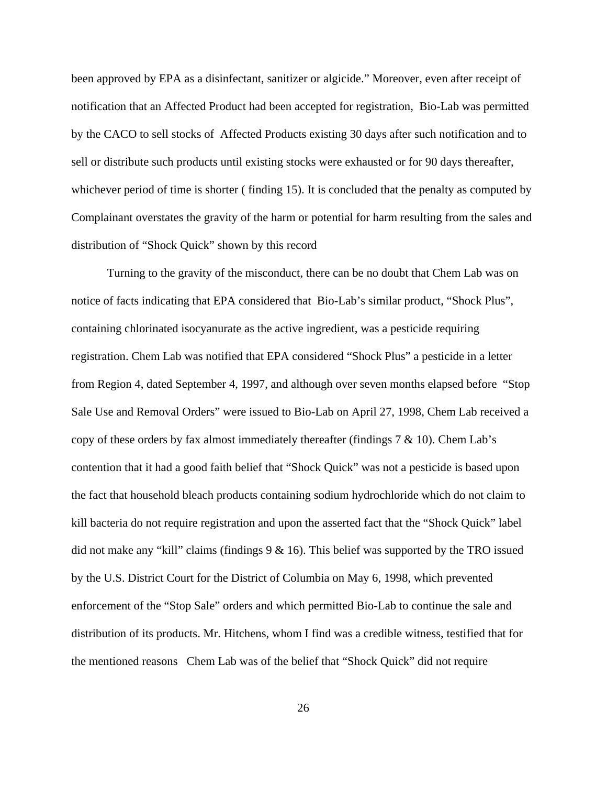been approved by EPA as a disinfectant, sanitizer or algicide." Moreover, even after receipt of notification that an Affected Product had been accepted for registration, Bio-Lab was permitted by the CACO to sell stocks of Affected Products existing 30 days after such notification and to sell or distribute such products until existing stocks were exhausted or for 90 days thereafter, whichever period of time is shorter (finding 15). It is concluded that the penalty as computed by Complainant overstates the gravity of the harm or potential for harm resulting from the sales and distribution of "Shock Quick" shown by this record

Turning to the gravity of the misconduct, there can be no doubt that Chem Lab was on notice of facts indicating that EPA considered that Bio-Lab's similar product, "Shock Plus", containing chlorinated isocyanurate as the active ingredient, was a pesticide requiring registration. Chem Lab was notified that EPA considered "Shock Plus" a pesticide in a letter from Region 4, dated September 4, 1997, and although over seven months elapsed before "Stop Sale Use and Removal Orders" were issued to Bio-Lab on April 27, 1998, Chem Lab received a copy of these orders by fax almost immediately thereafter (findings  $7 \& 10$ ). Chem Lab's contention that it had a good faith belief that "Shock Quick" was not a pesticide is based upon the fact that household bleach products containing sodium hydrochloride which do not claim to kill bacteria do not require registration and upon the asserted fact that the "Shock Quick" label did not make any "kill" claims (findings  $9 & 16$ ). This belief was supported by the TRO issued by the U.S. District Court for the District of Columbia on May 6, 1998, which prevented enforcement of the "Stop Sale" orders and which permitted Bio-Lab to continue the sale and distribution of its products. Mr. Hitchens, whom I find was a credible witness, testified that for the mentioned reasons Chem Lab was of the belief that "Shock Quick" did not require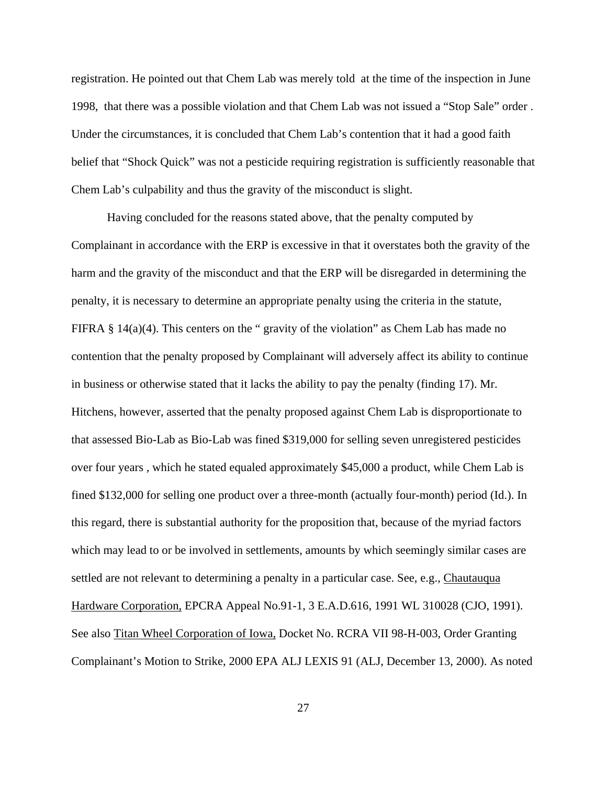registration. He pointed out that Chem Lab was merely told at the time of the inspection in June 1998, that there was a possible violation and that Chem Lab was not issued a "Stop Sale" order . Under the circumstances, it is concluded that Chem Lab's contention that it had a good faith belief that "Shock Quick" was not a pesticide requiring registration is sufficiently reasonable that Chem Lab's culpability and thus the gravity of the misconduct is slight.

Having concluded for the reasons stated above, that the penalty computed by Complainant in accordance with the ERP is excessive in that it overstates both the gravity of the harm and the gravity of the misconduct and that the ERP will be disregarded in determining the penalty, it is necessary to determine an appropriate penalty using the criteria in the statute, FIFRA  $\S$  14(a)(4). This centers on the " gravity of the violation" as Chem Lab has made no contention that the penalty proposed by Complainant will adversely affect its ability to continue in business or otherwise stated that it lacks the ability to pay the penalty (finding 17). Mr. Hitchens, however, asserted that the penalty proposed against Chem Lab is disproportionate to that assessed Bio-Lab as Bio-Lab was fined \$319,000 for selling seven unregistered pesticides over four years , which he stated equaled approximately \$45,000 a product, while Chem Lab is fined \$132,000 for selling one product over a three-month (actually four-month) period (Id.). In this regard, there is substantial authority for the proposition that, because of the myriad factors which may lead to or be involved in settlements, amounts by which seemingly similar cases are settled are not relevant to determining a penalty in a particular case. See, e.g., Chautauqua Hardware Corporation, EPCRA Appeal No.91-1, 3 E.A.D.616, 1991 WL 310028 (CJO, 1991). See also Titan Wheel Corporation of Iowa, Docket No. RCRA VII 98-H-003, Order Granting Complainant's Motion to Strike, 2000 EPA ALJ LEXIS 91 (ALJ, December 13, 2000). As noted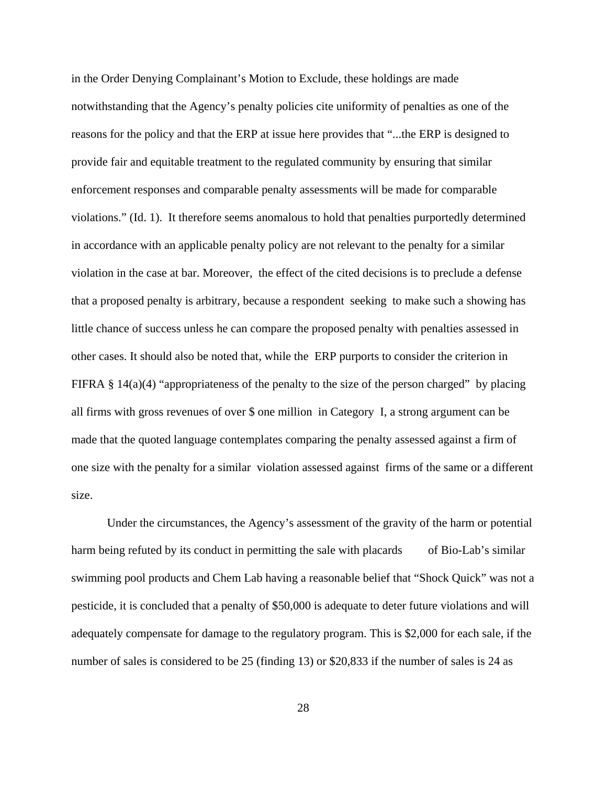in the Order Denying Complainant's Motion to Exclude, these holdings are made notwithstanding that the Agency's penalty policies cite uniformity of penalties as one of the reasons for the policy and that the ERP at issue here provides that "...the ERP is designed to provide fair and equitable treatment to the regulated community by ensuring that similar enforcement responses and comparable penalty assessments will be made for comparable violations." (Id. 1). It therefore seems anomalous to hold that penalties purportedly determined in accordance with an applicable penalty policy are not relevant to the penalty for a similar violation in the case at bar. Moreover, the effect of the cited decisions is to preclude a defense that a proposed penalty is arbitrary, because a respondent seeking to make such a showing has little chance of success unless he can compare the proposed penalty with penalties assessed in other cases. It should also be noted that, while the ERP purports to consider the criterion in FIFRA  $\S$  14(a)(4) "appropriateness of the penalty to the size of the person charged" by placing all firms with gross revenues of over \$ one million in Category I, a strong argument can be made that the quoted language contemplates comparing the penalty assessed against a firm of one size with the penalty for a similar violation assessed against firms of the same or a different size.

Under the circumstances, the Agency's assessment of the gravity of the harm or potential harm being refuted by its conduct in permitting the sale with placards of Bio-Lab's similar swimming pool products and Chem Lab having a reasonable belief that "Shock Quick" was not a pesticide, it is concluded that a penalty of \$50,000 is adequate to deter future violations and will adequately compensate for damage to the regulatory program. This is \$2,000 for each sale, if the number of sales is considered to be 25 (finding 13) or \$20,833 if the number of sales is 24 as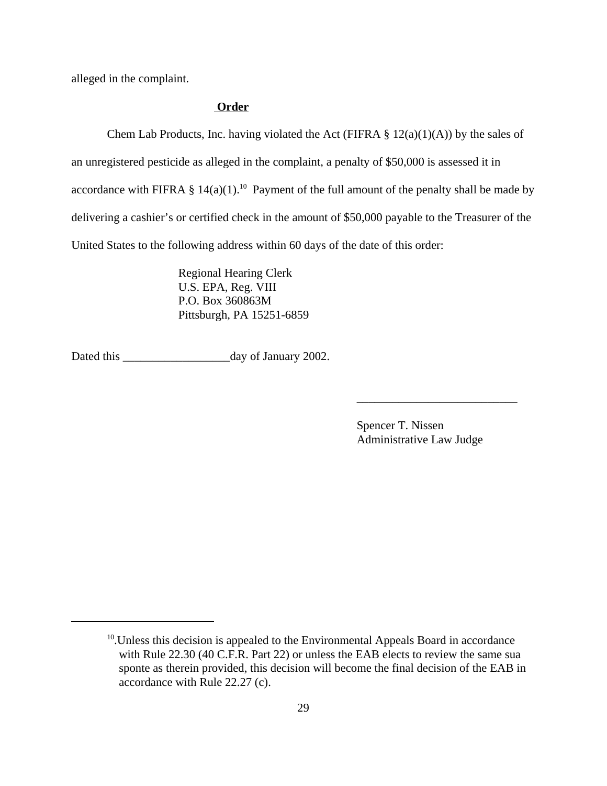alleged in the complaint.

# **Order**

Chem Lab Products, Inc. having violated the Act (FIFRA  $\S 12(a)(1)(A)$ ) by the sales of an unregistered pesticide as alleged in the complaint, a penalty of \$50,000 is assessed it in accordance with FIFRA  $\S$  14(a)(1).<sup>10</sup> Payment of the full amount of the penalty shall be made by delivering a cashier's or certified check in the amount of \$50,000 payable to the Treasurer of the United States to the following address within 60 days of the date of this order:

> Regional Hearing Clerk U.S. EPA, Reg. VIII P.O. Box 360863M Pittsburgh, PA 15251-6859

Dated this \_\_\_\_\_\_\_\_\_\_\_\_\_\_\_\_\_\_day of January 2002.

Spencer T. Nissen Administrative Law Judge

\_\_\_\_\_\_\_\_\_\_\_\_\_\_\_\_\_\_\_\_\_\_\_\_\_\_\_

 $10$ . Unless this decision is appealed to the Environmental Appeals Board in accordance with Rule 22.30 (40 C.F.R. Part 22) or unless the EAB elects to review the same sua sponte as therein provided, this decision will become the final decision of the EAB in accordance with Rule 22.27 (c).